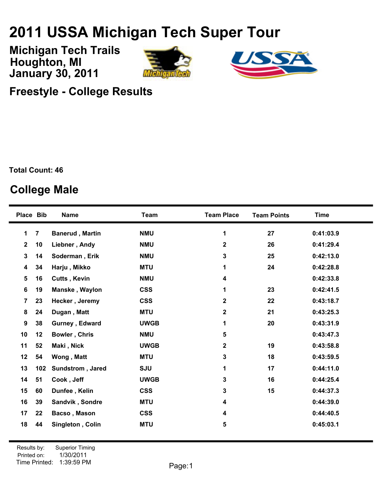## **USSA Michigan Tech Super Tour**

**January 30, 2011 Michigan Tech Trails Houghton, MI**





**Freestyle - College Results**

**Total Count: 46**

## **College Male**

|                         | Place Bib      | <b>Name</b>            | <b>Team</b> | <b>Team Place</b> | <b>Team Points</b> | <b>Time</b> |
|-------------------------|----------------|------------------------|-------------|-------------------|--------------------|-------------|
| 1                       | $\overline{7}$ | <b>Banerud, Martin</b> | <b>NMU</b>  | 1                 | 27                 | 0:41:03.9   |
| $\overline{2}$          | 10             | Liebner, Andy          | <b>NMU</b>  | $\mathbf{2}$      | 26                 | 0:41:29.4   |
| 3                       | 14             | Soderman, Erik         | <b>NMU</b>  | 3                 | 25                 | 0:42:13.0   |
| $\overline{\mathbf{4}}$ | 34             | Harju, Mikko           | <b>MTU</b>  | 1                 | 24                 | 0:42:28.8   |
| 5                       | 16             | <b>Cutts, Kevin</b>    | <b>NMU</b>  | 4                 |                    | 0:42:33.8   |
| 6                       | 19             | Manske, Waylon         | <b>CSS</b>  | 1                 | 23                 | 0:42:41.5   |
| $\overline{7}$          | 23             | Hecker, Jeremy         | <b>CSS</b>  | $\mathbf 2$       | 22                 | 0:43:18.7   |
| 8                       | 24             | Dugan, Matt            | <b>MTU</b>  | $\mathbf{2}$      | 21                 | 0:43:25.3   |
| 9                       | 38             | Gurney, Edward         | <b>UWGB</b> | 1                 | 20                 | 0:43:31.9   |
| 10                      | 12             | Bowler, Chris          | <b>NMU</b>  | 5                 |                    | 0:43:47.3   |
| 11                      | 52             | Maki, Nick             | <b>UWGB</b> | $\mathbf{2}$      | 19                 | 0:43:58.8   |
| 12                      | 54             | Wong, Matt             | <b>MTU</b>  | 3                 | 18                 | 0:43:59.5   |
| 13                      | 102            | Sundstrom, Jared       | <b>SJU</b>  | 1                 | 17                 | 0:44:11.0   |
| 14                      | 51             | Cook, Jeff             | <b>UWGB</b> | 3                 | 16                 | 0:44:25.4   |
| 15                      | 60             | Dunfee, Kelin          | <b>CSS</b>  | 3                 | 15                 | 0:44:37.3   |
| 16                      | 39             | Sandvik, Sondre        | <b>MTU</b>  | 4                 |                    | 0:44:39.0   |
| 17                      | 22             | Bacso, Mason           | <b>CSS</b>  | 4                 |                    | 0:44:40.5   |
| 18                      | 44             | Singleton, Colin       | <b>MTU</b>  | 5                 |                    | 0:45:03.1   |
|                         |                |                        |             |                   |                    |             |

Printed on: Time Printed: 1:39:59 PMResults by: Superior Timing 1/30/2011